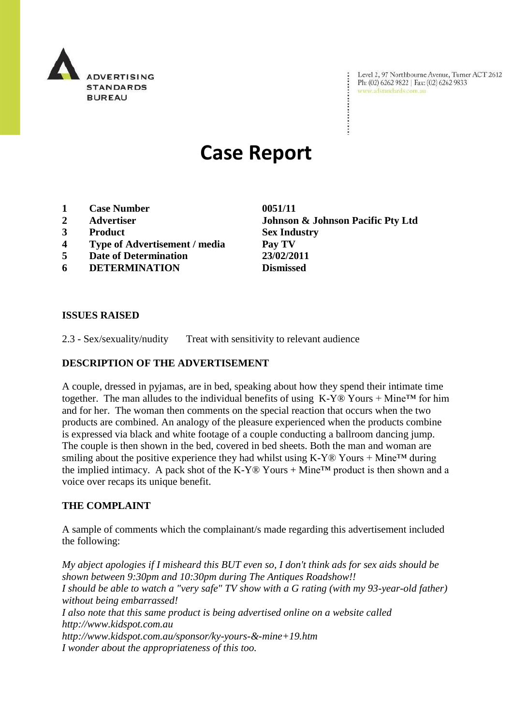

Level 2, 97 Northbourne Avenue, Turner ACT 2612 Ph: (02) 6262 9822 | Fax: (02) 6262 9833 www.adstandards.com.au

# **Case Report**

- **1 Case Number 0051/11**
- 
- **3 Product Sex Industry**
- **4 Type of Advertisement / media Pay TV**
- **5 Date of Determination 23/02/2011**
- **6 DETERMINATION Dismissed**

**2 Advertiser Johnson & Johnson Pacific Pty Ltd**

#### **ISSUES RAISED**

2.3 - Sex/sexuality/nudity Treat with sensitivity to relevant audience

#### **DESCRIPTION OF THE ADVERTISEMENT**

A couple, dressed in pyjamas, are in bed, speaking about how they spend their intimate time together. The man alludes to the individual benefits of using  $K-Y@$  Yours + Mine<sup>TM</sup> for him and for her. The woman then comments on the special reaction that occurs when the two products are combined. An analogy of the pleasure experienced when the products combine is expressed via black and white footage of a couple conducting a ballroom dancing jump. The couple is then shown in the bed, covered in bed sheets. Both the man and woman are smiling about the positive experience they had whilst using  $K-Y@$  Yours + Mine<sup>TM</sup> during the implied intimacy. A pack shot of the K-Y® Yours + Mine<sup>TM</sup> product is then shown and a voice over recaps its unique benefit.

#### **THE COMPLAINT**

A sample of comments which the complainant/s made regarding this advertisement included the following:

*My abject apologies if I misheard this BUT even so, I don't think ads for sex aids should be shown between 9:30pm and 10:30pm during The Antiques Roadshow!! I should be able to watch a "very safe" TV show with a G rating (with my 93-year-old father) without being embarrassed! I also note that this same product is being advertised online on a website called http://www.kidspot.com.au http://www.kidspot.com.au/sponsor/ky-yours-&-mine+19.htm I wonder about the appropriateness of this too.*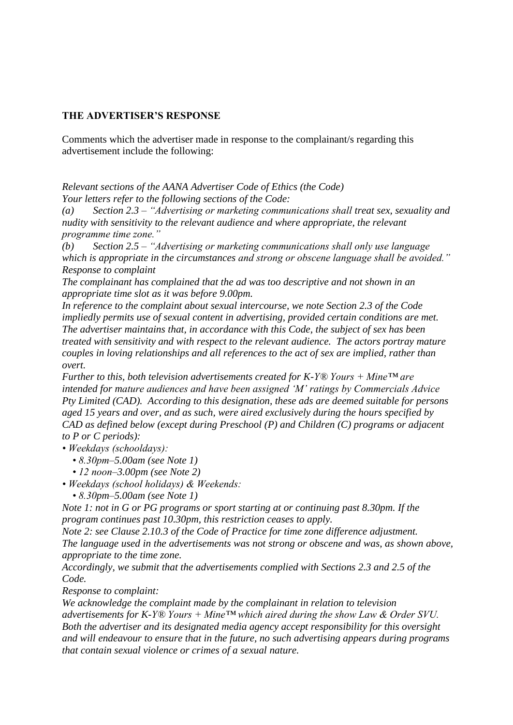## **THE ADVERTISER'S RESPONSE**

Comments which the advertiser made in response to the complainant/s regarding this advertisement include the following:

*Relevant sections of the AANA Advertiser Code of Ethics (the Code) Your letters refer to the following sections of the Code:*

*(a) Section 2.3 – "Advertising or marketing communications shall treat sex, sexuality and nudity with sensitivity to the relevant audience and where appropriate, the relevant programme time zone."*

*(b) Section 2.5 – "Advertising or marketing communications shall only use language which is appropriate in the circumstances and strong or obscene language shall be avoided." Response to complaint*

*The complainant has complained that the ad was too descriptive and not shown in an appropriate time slot as it was before 9.00pm.*

*In reference to the complaint about sexual intercourse, we note Section 2.3 of the Code impliedly permits use of sexual content in advertising, provided certain conditions are met. The advertiser maintains that, in accordance with this Code, the subject of sex has been treated with sensitivity and with respect to the relevant audience. The actors portray mature couples in loving relationships and all references to the act of sex are implied, rather than overt.*

*Further to this, both television advertisements created for K-Y® Yours + Mine™ are intended for mature audiences and have been assigned "M" ratings by Commercials Advice Pty Limited (CAD). According to this designation, these ads are deemed suitable for persons aged 15 years and over, and as such, were aired exclusively during the hours specified by CAD as defined below (except during Preschool (P) and Children (C) programs or adjacent to P or C periods):* 

*• Weekdays (schooldays):* 

- *8.30pm–5.00am (see Note 1)*
- *12 noon–3.00pm (see Note 2)*
- *Weekdays (school holidays) & Weekends:* 
	- *8.30pm–5.00am (see Note 1)*

*Note 1: not in G or PG programs or sport starting at or continuing past 8.30pm. If the program continues past 10.30pm, this restriction ceases to apply.* 

*Note 2: see Clause 2.10.3 of the Code of Practice for time zone difference adjustment. The language used in the advertisements was not strong or obscene and was, as shown above, appropriate to the time zone.* 

*Accordingly, we submit that the advertisements complied with Sections 2.3 and 2.5 of the Code.* 

*Response to complaint:*

*We acknowledge the complaint made by the complainant in relation to television advertisements for K-Y® Yours + Mine™ which aired during the show Law & Order SVU. Both the advertiser and its designated media agency accept responsibility for this oversight and will endeavour to ensure that in the future, no such advertising appears during programs that contain sexual violence or crimes of a sexual nature.*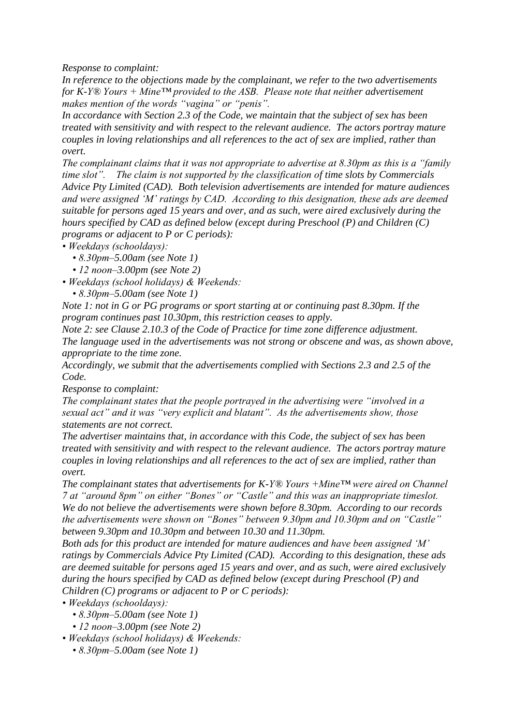*Response to complaint:*

*In reference to the objections made by the complainant, we refer to the two advertisements for K-Y® Yours + Mine™ provided to the ASB. Please note that neither advertisement makes mention of the words "vagina" or "penis".* 

*In accordance with Section 2.3 of the Code, we maintain that the subject of sex has been treated with sensitivity and with respect to the relevant audience. The actors portray mature couples in loving relationships and all references to the act of sex are implied, rather than overt.*

*The complainant claims that it was not appropriate to advertise at 8.30pm as this is a "family time slot". The claim is not supported by the classification of time slots by Commercials Advice Pty Limited (CAD). Both television advertisements are intended for mature audiences and were assigned "M" ratings by CAD. According to this designation, these ads are deemed suitable for persons aged 15 years and over, and as such, were aired exclusively during the hours specified by CAD as defined below (except during Preschool (P) and Children (C) programs or adjacent to P or C periods):* 

*• Weekdays (schooldays):* 

- *8.30pm–5.00am (see Note 1)*
- *12 noon–3.00pm (see Note 2)*
- *Weekdays (school holidays) & Weekends:* 
	- *8.30pm–5.00am (see Note 1)*

*Note 1: not in G or PG programs or sport starting at or continuing past 8.30pm. If the program continues past 10.30pm, this restriction ceases to apply.* 

*Note 2: see Clause 2.10.3 of the Code of Practice for time zone difference adjustment.*

*The language used in the advertisements was not strong or obscene and was, as shown above, appropriate to the time zone.* 

*Accordingly, we submit that the advertisements complied with Sections 2.3 and 2.5 of the Code.*

*Response to complaint:*

*The complainant states that the people portrayed in the advertising were "involved in a sexual act" and it was "very explicit and blatant". As the advertisements show, those statements are not correct.* 

*The advertiser maintains that, in accordance with this Code, the subject of sex has been treated with sensitivity and with respect to the relevant audience. The actors portray mature couples in loving relationships and all references to the act of sex are implied, rather than overt.*

*The complainant states that advertisements for K-Y® Yours +Mine™ were aired on Channel 7 at "around 8pm" on either "Bones" or "Castle" and this was an inappropriate timeslot. We do not believe the advertisements were shown before 8.30pm. According to our records the advertisements were shown on "Bones" between 9.30pm and 10.30pm and on "Castle" between 9.30pm and 10.30pm and between 10.30 and 11.30pm.* 

*Both ads for this product are intended for mature audiences and have been assigned "M" ratings by Commercials Advice Pty Limited (CAD). According to this designation, these ads are deemed suitable for persons aged 15 years and over, and as such, were aired exclusively during the hours specified by CAD as defined below (except during Preschool (P) and Children (C) programs or adjacent to P or C periods):*

*• Weekdays (schooldays):* 

- *8.30pm–5.00am (see Note 1)*
- *12 noon–3.00pm (see Note 2)*

*• Weekdays (school holidays) & Weekends:* 

 *• 8.30pm–5.00am (see Note 1)*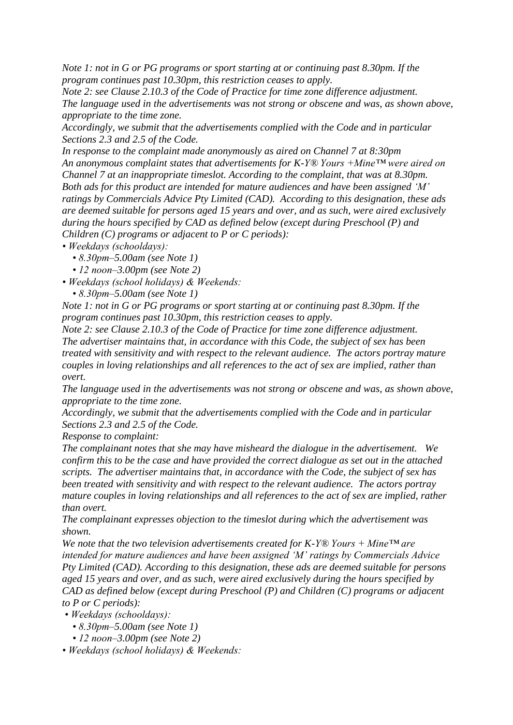*Note 1: not in G or PG programs or sport starting at or continuing past 8.30pm. If the program continues past 10.30pm, this restriction ceases to apply.* 

*Note 2: see Clause 2.10.3 of the Code of Practice for time zone difference adjustment. The language used in the advertisements was not strong or obscene and was, as shown above, appropriate to the time zone.* 

*Accordingly, we submit that the advertisements complied with the Code and in particular Sections 2.3 and 2.5 of the Code.* 

*In response to the complaint made anonymously as aired on Channel 7 at 8:30pm An anonymous complaint states that advertisements for K-Y® Yours +Mine™ were aired on Channel 7 at an inappropriate timeslot. According to the complaint, that was at 8.30pm. Both ads for this product are intended for mature audiences and have been assigned "M" ratings by Commercials Advice Pty Limited (CAD). According to this designation, these ads are deemed suitable for persons aged 15 years and over, and as such, were aired exclusively during the hours specified by CAD as defined below (except during Preschool (P) and Children (C) programs or adjacent to P or C periods):*

- *Weekdays (schooldays):* 
	- *8.30pm–5.00am (see Note 1)*
	- *12 noon–3.00pm (see Note 2)*
- *Weekdays (school holidays) & Weekends:* 
	- *8.30pm–5.00am (see Note 1)*

*Note 1: not in G or PG programs or sport starting at or continuing past 8.30pm. If the program continues past 10.30pm, this restriction ceases to apply.* 

*Note 2: see Clause 2.10.3 of the Code of Practice for time zone difference adjustment. The advertiser maintains that, in accordance with this Code, the subject of sex has been treated with sensitivity and with respect to the relevant audience. The actors portray mature couples in loving relationships and all references to the act of sex are implied, rather than overt.*

*The language used in the advertisements was not strong or obscene and was, as shown above, appropriate to the time zone.* 

*Accordingly, we submit that the advertisements complied with the Code and in particular Sections 2.3 and 2.5 of the Code.* 

*Response to complaint:*

*The complainant notes that she may have misheard the dialogue in the advertisement. We confirm this to be the case and have provided the correct dialogue as set out in the attached scripts. The advertiser maintains that, in accordance with the Code, the subject of sex has been treated with sensitivity and with respect to the relevant audience. The actors portray mature couples in loving relationships and all references to the act of sex are implied, rather than overt.*

*The complainant expresses objection to the timeslot during which the advertisement was shown.*

*We note that the two television advertisements created for K-Y® Yours + Mine™ are intended for mature audiences and have been assigned "M" ratings by Commercials Advice Pty Limited (CAD). According to this designation, these ads are deemed suitable for persons aged 15 years and over, and as such, were aired exclusively during the hours specified by CAD as defined below (except during Preschool (P) and Children (C) programs or adjacent to P or C periods):*

*• Weekdays (schooldays):* 

- *8.30pm–5.00am (see Note 1)*
- *12 noon–3.00pm (see Note 2)*

*• Weekdays (school holidays) & Weekends:*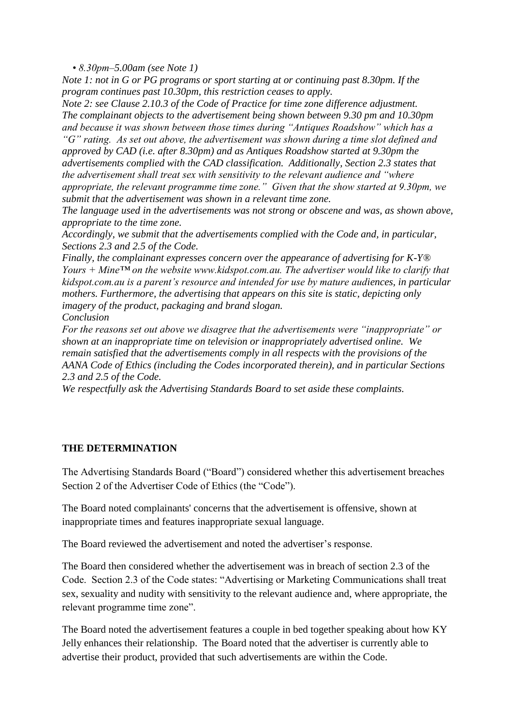*• 8.30pm–5.00am (see Note 1)* 

*Note 1: not in G or PG programs or sport starting at or continuing past 8.30pm. If the program continues past 10.30pm, this restriction ceases to apply.* 

*Note 2: see Clause 2.10.3 of the Code of Practice for time zone difference adjustment. The complainant objects to the advertisement being shown between 9.30 pm and 10.30pm and because it was shown between those times during "Antiques Roadshow" which has a "G" rating. As set out above, the advertisement was shown during a time slot defined and* 

*approved by CAD (i.e. after 8.30pm) and as Antiques Roadshow started at 9.30pm the advertisements complied with the CAD classification. Additionally, Section 2.3 states that the advertisement shall treat sex with sensitivity to the relevant audience and "where appropriate, the relevant programme time zone." Given that the show started at 9.30pm, we submit that the advertisement was shown in a relevant time zone.* 

*The language used in the advertisements was not strong or obscene and was, as shown above, appropriate to the time zone.* 

*Accordingly, we submit that the advertisements complied with the Code and, in particular, Sections 2.3 and 2.5 of the Code.* 

*Finally, the complainant expresses concern over the appearance of advertising for K-Y® Yours + Mine™ on the website www.kidspot.com.au. The advertiser would like to clarify that kidspot.com.au is a parent"s resource and intended for use by mature audiences, in particular mothers. Furthermore, the advertising that appears on this site is static, depicting only imagery of the product, packaging and brand slogan. Conclusion*

*For the reasons set out above we disagree that the advertisements were "inappropriate" or shown at an inappropriate time on television or inappropriately advertised online. We remain satisfied that the advertisements comply in all respects with the provisions of the AANA Code of Ethics (including the Codes incorporated therein), and in particular Sections 2.3 and 2.5 of the Code.* 

*We respectfully ask the Advertising Standards Board to set aside these complaints.*

### **THE DETERMINATION**

The Advertising Standards Board ("Board") considered whether this advertisement breaches Section 2 of the Advertiser Code of Ethics (the "Code").

The Board noted complainants' concerns that the advertisement is offensive, shown at inappropriate times and features inappropriate sexual language.

The Board reviewed the advertisement and noted the advertiser's response.

The Board then considered whether the advertisement was in breach of section 2.3 of the Code. Section 2.3 of the Code states: "Advertising or Marketing Communications shall treat sex, sexuality and nudity with sensitivity to the relevant audience and, where appropriate, the relevant programme time zone".

The Board noted the advertisement features a couple in bed together speaking about how KY Jelly enhances their relationship. The Board noted that the advertiser is currently able to advertise their product, provided that such advertisements are within the Code.